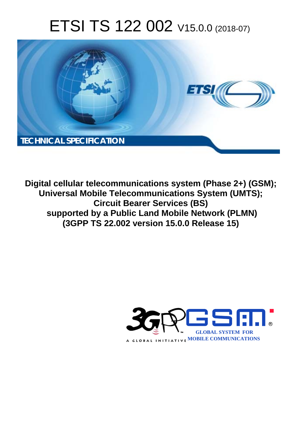# ETSI TS 122 002 V15.0.0 (2018-07)



**Digital cellular telecommunications system (Phase 2+) (GSM); Universal Mobile Telecommunications System (UMTS); Circuit Bearer Services (BS) supported by a Public Land Mobile Network (PLMN) (3GPP TS 22.002 version 15.0.0 Release 15)** 

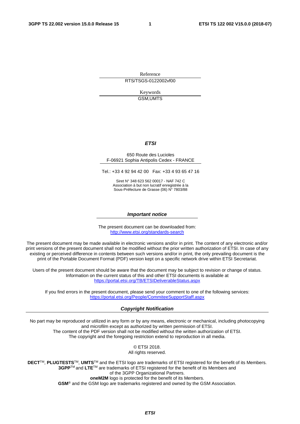Reference RTS/TSGS-0122002vf00

> Keywords GSM,UMTS

#### *ETSI*

#### 650 Route des Lucioles F-06921 Sophia Antipolis Cedex - FRANCE

Tel.: +33 4 92 94 42 00 Fax: +33 4 93 65 47 16

Siret N° 348 623 562 00017 - NAF 742 C Association à but non lucratif enregistrée à la Sous-Préfecture de Grasse (06) N° 7803/88

#### *Important notice*

The present document can be downloaded from: <http://www.etsi.org/standards-search>

The present document may be made available in electronic versions and/or in print. The content of any electronic and/or print versions of the present document shall not be modified without the prior written authorization of ETSI. In case of any existing or perceived difference in contents between such versions and/or in print, the only prevailing document is the print of the Portable Document Format (PDF) version kept on a specific network drive within ETSI Secretariat.

Users of the present document should be aware that the document may be subject to revision or change of status. Information on the current status of this and other ETSI documents is available at <https://portal.etsi.org/TB/ETSIDeliverableStatus.aspx>

If you find errors in the present document, please send your comment to one of the following services: <https://portal.etsi.org/People/CommiteeSupportStaff.aspx>

#### *Copyright Notification*

No part may be reproduced or utilized in any form or by any means, electronic or mechanical, including photocopying and microfilm except as authorized by written permission of ETSI. The content of the PDF version shall not be modified without the written authorization of ETSI. The copyright and the foregoing restriction extend to reproduction in all media.

> © ETSI 2018. All rights reserved.

**DECT**TM, **PLUGTESTS**TM, **UMTS**TM and the ETSI logo are trademarks of ETSI registered for the benefit of its Members. **3GPP**TM and **LTE**TM are trademarks of ETSI registered for the benefit of its Members and of the 3GPP Organizational Partners. **oneM2M** logo is protected for the benefit of its Members.

**GSM**® and the GSM logo are trademarks registered and owned by the GSM Association.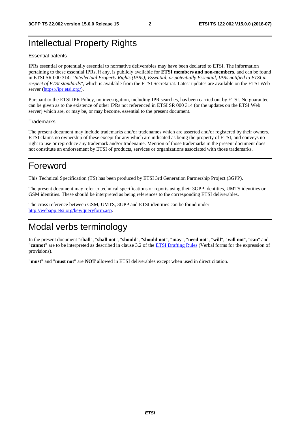## Intellectual Property Rights

#### Essential patents

IPRs essential or potentially essential to normative deliverables may have been declared to ETSI. The information pertaining to these essential IPRs, if any, is publicly available for **ETSI members and non-members**, and can be found in ETSI SR 000 314: *"Intellectual Property Rights (IPRs); Essential, or potentially Essential, IPRs notified to ETSI in respect of ETSI standards"*, which is available from the ETSI Secretariat. Latest updates are available on the ETSI Web server ([https://ipr.etsi.org/\)](https://ipr.etsi.org/).

Pursuant to the ETSI IPR Policy, no investigation, including IPR searches, has been carried out by ETSI. No guarantee can be given as to the existence of other IPRs not referenced in ETSI SR 000 314 (or the updates on the ETSI Web server) which are, or may be, or may become, essential to the present document.

#### **Trademarks**

The present document may include trademarks and/or tradenames which are asserted and/or registered by their owners. ETSI claims no ownership of these except for any which are indicated as being the property of ETSI, and conveys no right to use or reproduce any trademark and/or tradename. Mention of those trademarks in the present document does not constitute an endorsement by ETSI of products, services or organizations associated with those trademarks.

## Foreword

This Technical Specification (TS) has been produced by ETSI 3rd Generation Partnership Project (3GPP).

The present document may refer to technical specifications or reports using their 3GPP identities, UMTS identities or GSM identities. These should be interpreted as being references to the corresponding ETSI deliverables.

The cross reference between GSM, UMTS, 3GPP and ETSI identities can be found under [http://webapp.etsi.org/key/queryform.asp.](http://webapp.etsi.org/key/queryform.asp)

## Modal verbs terminology

In the present document "**shall**", "**shall not**", "**should**", "**should not**", "**may**", "**need not**", "**will**", "**will not**", "**can**" and "**cannot**" are to be interpreted as described in clause 3.2 of the [ETSI Drafting Rules](https://portal.etsi.org/Services/editHelp!/Howtostart/ETSIDraftingRules.aspx) (Verbal forms for the expression of provisions).

"**must**" and "**must not**" are **NOT** allowed in ETSI deliverables except when used in direct citation.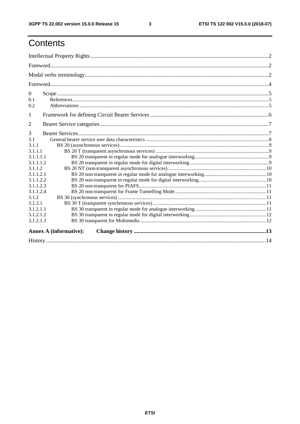$\mathbf{3}$ 

# Contents

| $\boldsymbol{0}$<br>0.1<br>0.2                   |  |
|--------------------------------------------------|--|
| 1                                                |  |
| 2                                                |  |
| 3<br>3.1<br>3.1.1<br>3.1.1.1<br>3.1.1.1.1        |  |
| 3.1.1.1.2<br>3.1.1.2                             |  |
| 3.1.1.2.1<br>3.1.1.2.2<br>3.1.1.2.3<br>3.1.1.2.4 |  |
| 3.1.2                                            |  |
| 3.1.2.1<br>3.1.2.1.1<br>3.1.2.1.2<br>3.1.2.1.3   |  |
| <b>Annex A (informative):</b>                    |  |
|                                                  |  |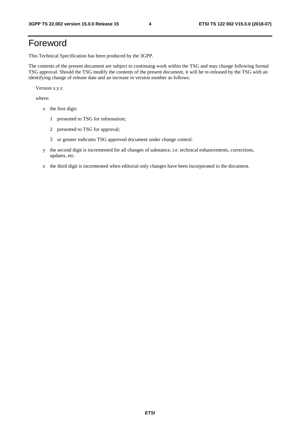# Foreword

This Technical Specification has been produced by the 3GPP.

The contents of the present document are subject to continuing work within the TSG and may change following formal TSG approval. Should the TSG modify the contents of the present document, it will be re-released by the TSG with an identifying change of release date and an increase in version number as follows:

Version x.y.z

where:

- x the first digit:
	- 1 presented to TSG for information;
	- 2 presented to TSG for approval;
	- 3 or greater indicates TSG approved document under change control.
- y the second digit is incremented for all changes of substance, i.e. technical enhancements, corrections, updates, etc.
- z the third digit is incremented when editorial only changes have been incorporated in the document.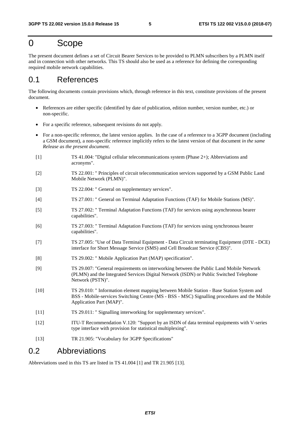## 0 Scope

The present document defines a set of Circuit Bearer Services to be provided to PLMN subscribers by a PLMN itself and in connection with other networks. This TS should also be used as a reference for defining the corresponding required mobile network capabilities.

### 0.1 References

The following documents contain provisions which, through reference in this text, constitute provisions of the present document.

- References are either specific (identified by date of publication, edition number, version number, etc.) or non-specific.
- For a specific reference, subsequent revisions do not apply.
- For a non-specific reference, the latest version applies. In the case of a reference to a 3GPP document (including a GSM document), a non-specific reference implicitly refers to the latest version of that document *in the same Release as the present document*.
- [1] TS 41.004: "Digital cellular telecommunications system (Phase 2+); Abbreviations and acronyms".
- [2] TS 22.001: " Principles of circuit telecommunication services supported by a GSM Public Land Mobile Network (PLMN)".
- [3] TS 22.004: " General on supplementary services".
- [4] TS 27.001: " General on Terminal Adaptation Functions (TAF) for Mobile Stations (MS)".
- [5] TS 27.002: " Terminal Adaptation Functions (TAF) for services using asynchronous bearer capabilities".
- [6] TS 27.003: " Terminal Adaptation Functions (TAF) for services using synchronous bearer capabilities".
- [7] TS 27.005: "Use of Data Terminal Equipment Data Circuit terminating Equipment (DTE DCE) interface for Short Message Service (SMS) and Cell Broadcast Service (CBS)".
- [8] TS 29.002: " Mobile Application Part (MAP) specification".
- [9] TS 29.007: "General requirements on interworking between the Public Land Mobile Network (PLMN) and the Integrated Services Digital Network (ISDN) or Public Switched Telephone Network (PSTN)".
- [10] TS 29.010: " Information element mapping between Mobile Station Base Station System and BSS - Mobile-services Switching Centre (MS - BSS - MSC) Signalling procedures and the Mobile Application Part (MAP)".
- [11] TS 29.011: " Signalling interworking for supplementary services".
- [12] ITU-T Recommendation V.120: "Support by an ISDN of data terminal equipments with V-series type interface with provision for statistical multiplexing".
- [13] TR 21.905: "Vocabulary for 3GPP Specifications"

### 0.2 Abbreviations

Abbreviations used in this TS are listed in TS 41.004 [1] and TR 21.905 [13].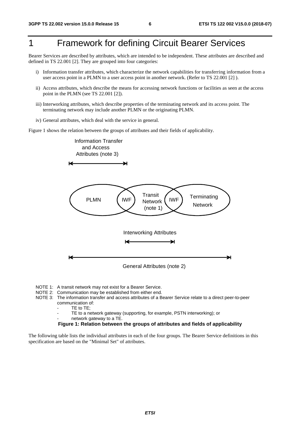# 1 Framework for defining Circuit Bearer Services

Bearer Services are described by attributes, which are intended to be independent. These attributes are described and defined in TS 22.001 [2]. They are grouped into four categories:

- i) Information transfer attributes, which characterize the network capabilities for transferring information from a user access point in a PLMN to a user access point in another network. (Refer to TS 22.001 [2] ).
- ii) Access attributes, which describe the means for accessing network functions or facilities as seen at the access point in the PLMN (see TS 22.001 [2]).
- iii) Interworking attributes, which describe properties of the terminating network and its access point. The terminating network may include another PLMN or the originating PLMN.
- iv) General attributes, which deal with the service in general.

Figure 1 shows the relation between the groups of attributes and their fields of applicability.



- NOTE 1: A transit network may not exist for a Bearer Service.
- NOTE 2: Communication may be established from either end.
- NOTE 3: The information transfer and access attributes of a Bearer Service relate to a direct peer-to-peer communication of:
	- TE to TE:
	- TE to a network gateway (supporting, for example, PSTN interworking); or
	- network gateway to a TE.

#### **Figure 1: Relation between the groups of attributes and fields of applicability**

The following table lists the individual attributes in each of the four groups. The Bearer Service definitions in this specification are based on the "Minimal Set" of attributes.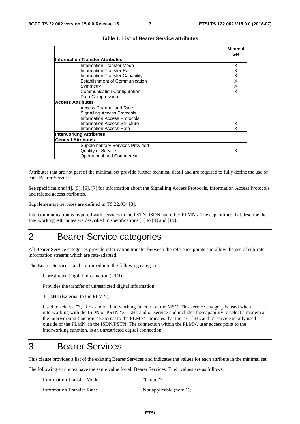**Minimal**

|                                        | міпітаі    |
|----------------------------------------|------------|
|                                        | <b>Set</b> |
| <b>Information Transfer Attributes</b> |            |
| <b>Information Transfer Mode</b>       | X          |
| <b>Information Transfer Rate</b>       |            |
| Information Transfer Capability        | x          |
| Establishment of Communication         | x          |
| Symmetry                               | X          |
| Communication Configuration            | x          |
| Data Compression                       |            |
| <b>Access Attributes</b>               |            |
| Access Channel and Rate                |            |
| Signalling Access Protocols            |            |
| Information Access Protocols           |            |
| Information Access Structure           | x          |
| Information Access Rate                |            |
| Interworking Attributes                |            |
| <b>General Attributes</b>              |            |
| <b>Supplementary Services Provided</b> |            |
| <b>Quality of Service</b>              | X          |
| Operational and Commercial             |            |
|                                        |            |

| Table 1: List of Bearer Service attributes |
|--------------------------------------------|
|--------------------------------------------|

Attributes that are not part of the minimal set provide further technical detail and are required to fully define the use of each Bearer Service.

See specifications [4], [5], [6], [7] for information about the Signalling Access Protocols, Information Access Protocols and related access attributes.

Supplementary services are defined in TS 22.004 [3].

Intercommunication is required with services in the PSTN, ISDN and other PLMNs. The capabilities that describe the Interworking Attributes are described in specifications [8] to [9] and [15].

# 2 Bearer Service categories

All Bearer Service categories provide information transfer between the reference points and allow the use of sub-rate information streams which are rate-adapted.

The Bearer Services can be grouped into the following categories:

Unrestricted Digital Information (UDI);

Provides the transfer of unrestricted digital information.

- 3,1 kHz (External to the PLMN);

 Used to select a "3,1 kHz audio" interworking function at the MSC. This service category is used when interworking with the ISDN or PSTN "3,1 kHz audio" service and includes the capability to select a modem at the interworking function. "External to the PLMN" indicates that the "3,1 kHz audio" service is only used outside of the PLMN, in the ISDN/PSTN. The connection within the PLMN, user access point to the interworking function, is an unrestricted digital connection.

## 3 Bearer Services

This clause provides a list of the existing Bearer Services and indicates the values for each attribute in the minimal set.

The following attributes have the same value for all Bearer Services. Their values are as follows:

| <b>Information Transfer Mode:</b> | "Circuit":               |
|-----------------------------------|--------------------------|
| Information Transfer Rate:        | Not applicable (note 1); |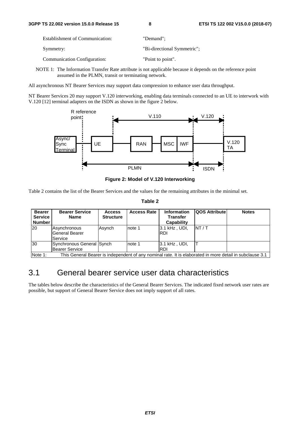| <b>Establishment of Communication:</b> | "Demand":                   |
|----------------------------------------|-----------------------------|
| Symmetry:                              | "Bi-directional Symmetric"; |
| <b>Communication Configuration:</b>    | "Point to point".           |

NOTE 1: The Information Transfer Rate attribute is not applicable because it depends on the reference point assumed in the PLMN, transit or terminating network.

All asynchronous NT Bearer Services may support data compression to enhance user data throughput.

NT Bearer Services 20 may support V.120 interworking, enabling data terminals connected to an UE to interwork with V.120 [12] terminal adapters on the ISDN as shown in the figure 2 below.



**Figure 2: Model of V.120 Interworking** 

Table 2 contains the list of the Bearer Services and the values for the remaining attributes in the minimal set.

#### **Table 2**

| <b>Bearer</b><br><b>Service</b><br><b>Number</b> | <b>Bearer Service</b><br><b>Name</b>               | <b>Access</b><br><b>Structure</b>                                                                        | <b>Access Rate</b> | <b>Information</b><br><b>Transfer</b><br><b>Capability</b> | <b>QOS Attribute</b> | <b>Notes</b> |  |  |  |  |  |
|--------------------------------------------------|----------------------------------------------------|----------------------------------------------------------------------------------------------------------|--------------------|------------------------------------------------------------|----------------------|--------------|--|--|--|--|--|
| 20                                               | Asynchronous<br>General Bearer<br>Service          | Asynch                                                                                                   | note 1             | 3.1 kHz . UDI.<br><b>RDI</b>                               | INT / T              |              |  |  |  |  |  |
| 30                                               | Synchronous General Synch<br><b>Bearer Service</b> |                                                                                                          | note 1             | 3.1 kHz, UDI,<br>IRDI                                      |                      |              |  |  |  |  |  |
| Note 1:                                          |                                                    | This General Bearer is independent of any nominal rate. It is elaborated in more detail in subclause 3.1 |                    |                                                            |                      |              |  |  |  |  |  |

### 3.1 General bearer service user data characteristics

The tables below describe the characteristics of the General Bearer Services. The indicated fixed network user rates are possible, but support of General Bearer Service does not imply support of all rates.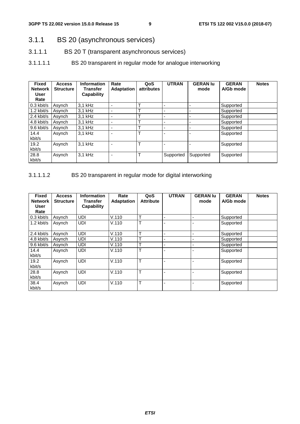### 3.1.1 BS 20 (asynchronous services)

- 3.1.1.1 BS 20 T (transparent asynchronous services)
- 3.1.1.1.1 BS 20 transparent in regular mode for analogue interworking

| <b>Fixed</b><br><b>Network</b><br>User<br>Rate | <b>Access</b><br><b>Structure</b> | <b>Information</b><br>Transfer<br>Capability | Rate<br><b>Adaptation</b> | QoS<br>attributes | <b>UTRAN</b> | <b>GERAN lu</b><br>mode  | <b>GERAN</b><br>A/Gb mode | <b>Notes</b> |
|------------------------------------------------|-----------------------------------|----------------------------------------------|---------------------------|-------------------|--------------|--------------------------|---------------------------|--------------|
| $0.3$ kbit/s                                   | Asynch                            | 3,1 kHz                                      |                           | $\mathbf \tau$    |              |                          | Supported                 |              |
| $1.2$ kbit/s                                   | Asynch                            | $3.1$ kHz                                    |                           | Т                 |              | ٠                        | Supported                 |              |
| 2.4 kbit/s                                     | Asynch                            | 3.1 kHz                                      | ٠                         | $\mathbf \tau$    |              | $\blacksquare$           | Supported                 |              |
| 4.8 kbit/s                                     | Asynch                            | 3.1 kHz                                      |                           | $\mathbf \tau$    |              | ٠                        | Supported                 |              |
| 9.6 kbit/s                                     | Asynch                            | 3,1 kHz                                      | ٠                         | $\mathbf \tau$    |              | $\overline{\phantom{0}}$ | Supported                 |              |
| 14.4<br>kbit/s                                 | Asynch                            | 3.1 kHz                                      |                           | т                 |              |                          | Supported                 |              |
| 19.2<br>kbit/s                                 | Asynch                            | 3.1 kHz                                      |                           | т                 |              |                          | Supported                 |              |
| 28.8<br>kbit/s                                 | Asynch                            | 3,1 kHz                                      |                           | $\mathsf{T}$      | Supported    | Supported                | Supported                 |              |

### 3.1.1.1.2 BS 20 transparent in regular mode for digital interworking

| <b>Fixed</b><br><b>Network</b><br>User | <b>Access</b><br><b>Structure</b> | <b>Information</b><br>Transfer<br><b>Capability</b> | Rate<br><b>Adaptation</b> | QoS<br><b>Attribute</b> | <b>UTRAN</b> | <b>GERAN lu</b><br>mode | <b>GERAN</b><br>A/Gb mode | <b>Notes</b> |
|----------------------------------------|-----------------------------------|-----------------------------------------------------|---------------------------|-------------------------|--------------|-------------------------|---------------------------|--------------|
| Rate<br>$0.3$ kbit/s                   | Asynch                            | UDI                                                 | V.110                     | $\mathbf{r}$            |              | $\blacksquare$          | Supported                 |              |
| $1.2$ kbit/s                           | Asynch                            | <b>UDI</b>                                          | V.110                     | ᠇                       |              |                         | Supported                 |              |
| 2.4 kbit/s                             | Asynch                            | <b>UDI</b>                                          | V.110                     | ᠇                       |              | ۰                       | Supported                 |              |
| 4.8 kbit/s                             | Asynch                            | UDI                                                 | V.110                     | ÷                       |              | -                       | Supported                 |              |
| 9.6 kbit/s                             | Asynch                            | <b>UDI</b>                                          | V.110                     | ᠇                       |              | ۰                       | Supported                 |              |
| 14.4<br>kbit/s                         | Asynch                            | <b>UDI</b>                                          | V.110                     | ᠇                       |              |                         | Supported                 |              |
| 19.2<br>kbit/s                         | Asynch                            | UDI                                                 | V.110                     | $\mathbf{r}$            |              |                         | Supported                 |              |
| 28.8<br>kbit/s                         | Asynch                            | UDI                                                 | V.110                     | $\mathbf{r}$            |              |                         | Supported                 |              |
| 38.4<br>kbit/s                         | Asynch                            | UDI                                                 | V.110                     | $\mathbf{r}$            |              |                         | Supported                 |              |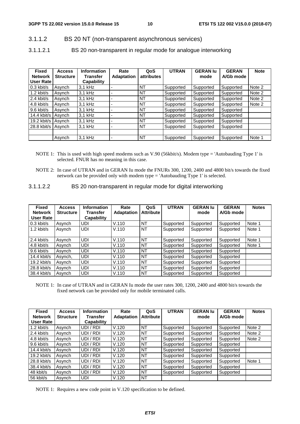### 3.1.1.2 BS 20 NT (non-transparent asynchronous services)

3.1.1.2.1 BS 20 non-transparent in regular mode for analogue interworking

| <b>Fixed</b><br><b>Network</b><br>User Rate | <b>Access</b><br><b>Structure</b> | <b>Information</b><br>Transfer<br>Capability | Rate<br><b>Adaptation</b> | QoS<br><b>attributes</b> | <b>UTRAN</b> | <b>GERAN lu</b><br>mode | <b>GERAN</b><br>A/Gb mode | <b>Note</b> |
|---------------------------------------------|-----------------------------------|----------------------------------------------|---------------------------|--------------------------|--------------|-------------------------|---------------------------|-------------|
| $0.3$ kbit/s                                | Asvnch                            | $3.1$ kHz                                    |                           | <b>NT</b>                | Supported    | Supported               | Supported                 | Note 2      |
| $1.2$ kbit/s                                | Asvnch                            | 3.1 kHz                                      |                           | NT                       | Supported    | Supported               | Supported                 | Note 2      |
| 2.4 kbit/s                                  | Asvnch                            | $3.1$ kHz                                    |                           | NT                       | Supported    | Supported               | Supported                 | Note 2      |
| 4.8 kbit/s                                  | Asynch                            | $3.1$ kHz                                    |                           | <b>NT</b>                | Supported    | Supported               | Supported                 | Note 2      |
| 9.6 kbit/s                                  | Asvnch                            | $3.1$ kHz                                    |                           | <b>NT</b>                | Supported    | Supported               | Supported                 |             |
| 14.4 kbit/s                                 | Asynch                            | $3.1$ kHz                                    |                           | <b>NT</b>                | Supported    | Supported               | Supported                 |             |
| $19.2$ kbit/s                               | Asynch                            | 3.1 kHz                                      |                           | <b>NT</b>                | Supported    | Supported               | Supported                 |             |
| 28.8 kbit/s                                 | Asynch                            | $3.1$ kHz                                    |                           | <b>NT</b>                | Supported    | Supported               | Supported                 |             |
|                                             |                                   |                                              |                           |                          |              |                         |                           |             |
|                                             | Asvnch                            | 3.1 kHz                                      |                           | <b>NT</b>                | Supported    | Supported               | Supported                 | Note 1      |

- NOTE 1: This is used with high speed modems such as V.90 (56kbit/s). Modem type = 'Autobauding Type 1' is selected. FNUR has no meaning in this case.
- NOTE 2: In case of UTRAN and in GERAN Iu mode the FNURs 300, 1200, 2400 and 4800 bit/s towards the fixed network can be provided only with modem type = 'Autobauding Type 1' is selected.
- 3.1.1.2.2 BS 20 non-transparent in regular mode for digital interworking

| <b>Fixed</b><br><b>Network</b><br>User Rate | <b>Access</b><br><b>Structure</b> | <b>Information</b><br>Transfer<br>Capability | Rate<br><b>Adaptation</b> | QoS<br><b>Attribute</b> | <b>UTRAN</b> | <b>GERAN lu</b><br>mode | <b>GERAN</b><br>A/Gb mode | <b>Notes</b> |
|---------------------------------------------|-----------------------------------|----------------------------------------------|---------------------------|-------------------------|--------------|-------------------------|---------------------------|--------------|
| $0.3$ kbit/s                                | Asynch                            | <b>UDI</b>                                   | V.110                     | <b>NT</b>               | Supported    | Supported               | Supported                 | Note 1       |
| $1.2$ kbit/s                                | Asynch                            | <b>UDI</b>                                   | V.110                     | <b>NT</b>               | Supported    | Supported               | Supported                 | Note 1       |
| 2.4 kbit/s                                  | Asvnch                            | <b>UDI</b>                                   | V.110                     | <b>NT</b>               | Supported    | Supported               | Supported                 | Note 1       |
| 4.8 kbit/s                                  | Asynch                            | <b>UDI</b>                                   | V.110                     | <b>NT</b>               | Supported    | Supported               | Supported                 | Note 1       |
| 9.6 kbit/s                                  | Asynch                            | <b>UDI</b>                                   | V.110                     | <b>NT</b>               | Supported    | Supported               | Supported                 |              |
| $14.4$ kbit/s                               | Asynch,                           | UDI                                          | V.110                     | <b>NT</b>               | Supported    | Supported               | Supported                 |              |
| $19.2$ kbit/s                               | Asynch                            | <b>UDI</b>                                   | V.110                     | <b>NT</b>               | Supported    | Supported               | Supported                 |              |
| $28.8$ kbit/s                               | Asvnch                            | <b>UDI</b>                                   | V.110                     | <b>NT</b>               | Supported    | Supported               | Supported                 |              |
| 38.4 kbit/s                                 | Asvnch                            | <b>UDI</b>                                   | V.110                     | <b>NT</b>               | Supported    | Supported               | Supported                 |              |

NOTE 1: In case of UTRAN and in GERAN Iu mode the user rates 300, 1200, 2400 and 4800 bit/s towards the fixed network can be provided only for mobile terminated calls.

| <b>Fixed</b>   | <b>Access</b>    | <b>Information</b> | Rate              | QoS              | <b>UTRAN</b> | <b>GERAN lu</b> | <b>GERAN</b> | <b>Notes</b> |
|----------------|------------------|--------------------|-------------------|------------------|--------------|-----------------|--------------|--------------|
| <b>Network</b> | <b>Structure</b> | Transfer           | <b>Adaptation</b> | <b>Attribute</b> |              | mode            | A/Gb mode    |              |
| User Rate      |                  | Capability         |                   |                  |              |                 |              |              |
| $1.2$ kbit/s   | Asynch           | UDI / RDI          | V.120             | <b>NT</b>        | Supported    | Supported       | Supported    | Note 2       |
| 2.4 kbit/s     | Asynch           | UDI / RDI          | V.120             | <b>NT</b>        | Supported    | Supported       | Supported    | Note 2       |
| 4.8 kbit/s     | Asynch           | UDI / RDI          | V.120             | <b>NT</b>        | Supported    | Supported       | Supported    | Note 2       |
| 9.6 kbit/s     | Asvnch           | UDI / RDI          | V.120             | <b>NT</b>        | Supported    | Supported       | Supported    |              |
| $14.4$ kbit/s  | Asynch           | UDI / RDI          | V.120             | <b>NT</b>        | Supported    | Supported       | Supported    |              |
| $19.2$ kbit/s  | Asvnch           | UDI / RDI          | V.120             | <b>NT</b>        | Supported    | Supported       | Supported    |              |
| 28.8 kbit/s    | Asynch           | UDI / RDI          | V.120             | <b>NT</b>        | Supported    | Supported       | Supported    | Note 1       |
| 38.4 kbit/s    | Asynch           | UDI / RDI          | V.120             | <b>NT</b>        | Supported    | Supported       | Supported    |              |
| 48 kbit/s      | Asvnch           | UDI / RDI          | V.120             | <b>NT</b>        | Supported    | Supported       | Supported    |              |
| 56 kbit/s      | Asynch           | UDI                | V.120             | <b>NT</b>        |              |                 |              |              |

NOTE 1: Requires a new code point in V.120 specification to be defined.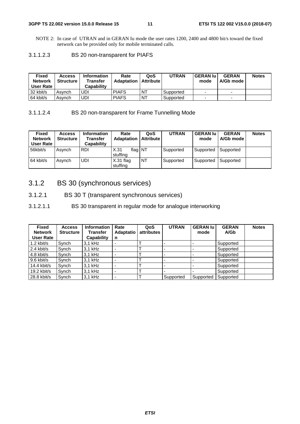#### **3GPP TS 22.002 version 15.0.0 Release 15 11 ETSI TS 122 002 V15.0.0 (2018-07)**

NOTE 2: In case of UTRAN and in GERAN Iu mode the user rates 1200, 2400 and 4800 bit/s toward the fixed network can be provided only for mobile terminated calls.

3.1.1.2.3 BS 20 non-transparent for PIAFS

| Fixed<br><b>Network</b><br>User Rate | <b>Access</b><br><b>Structure</b> | <b>Information</b><br>Transfer<br>Capabilitv | Rate<br>Adaptation | QoS<br><b>Attribute</b> | <b>UTRAN</b> | <b>GERAN lu</b><br>mode  | <b>GERAN</b><br>A/Gb mode | <b>Notes</b> |
|--------------------------------------|-----------------------------------|----------------------------------------------|--------------------|-------------------------|--------------|--------------------------|---------------------------|--------------|
| 32 kbit/s                            | Asvnch                            | UDI                                          | <b>PIAFS</b>       | NT                      | Supported    | $\overline{\phantom{a}}$ | $\overline{\phantom{0}}$  |              |
| 64 kbit/s                            | Asvnch                            | UDI                                          | <b>PIAFS</b>       | ⊥NT                     | Supported    | $\overline{\phantom{0}}$ | -                         |              |

3.1.1.2.4 BS 20 non-transparent for Frame Tunnelling Mode

| <b>Fixed</b><br><b>Network</b><br>User Rate | <b>Access</b><br><b>Structure</b> | <b>Information</b><br><b>Transfer</b><br>Capability | Rate<br><b>Adaptation</b>   | QoS<br><b>Attribute</b> | <b>UTRAN</b> | <b>GERAN lu</b><br>mode | <b>GERAN</b><br>A/Gb mode | <b>Notes</b> |
|---------------------------------------------|-----------------------------------|-----------------------------------------------------|-----------------------------|-------------------------|--------------|-------------------------|---------------------------|--------------|
| 56kbit/s                                    | Asvnch                            | <b>RDI</b>                                          | X.31<br>flag NT<br>stuffina |                         | Supported    | Supported               | Supported                 |              |
| 64 kbit/s                                   | Asvnch                            | <b>UDI</b>                                          | $X.31$ flag<br>stuffina     | NT                      | Supported    | Supported               | Supported                 |              |

### 3.1.2 BS 30 (synchronous services)

3.1.2.1 BS 30 T (transparent synchronous services)

3.1.2.1.1 BS 30 transparent in regular mode for analogue interworking

| <b>Fixed</b><br><b>Network</b><br><b>User Rate</b> | <b>Access</b><br><b>Structure</b> | <b>Information</b><br>Transfer<br>Capability | Rate<br><b>Adaptatio</b><br>n | QoS<br>attributes | <b>UTRAN</b> | <b>GERAN lu</b><br>mode | <b>GERAN</b><br>A/Gb | <b>Notes</b> |
|----------------------------------------------------|-----------------------------------|----------------------------------------------|-------------------------------|-------------------|--------------|-------------------------|----------------------|--------------|
| $1.2$ kbit/s                                       | Synch                             | 3,1 kHz                                      |                               |                   |              |                         | Supported            |              |
| 2.4 kbit/s                                         | Synch                             | 3,1 kHz                                      |                               |                   |              |                         | Supported            |              |
| 4.8 kbit/s                                         | Synch                             | 3,1 kHz                                      |                               |                   |              |                         | Supported            |              |
| 9.6 kbit/s                                         | Synch                             | 3,1 kHz                                      |                               |                   |              |                         | Supported            |              |
| 14.4 kbit/s                                        | Synch                             | 3,1 kHz                                      |                               |                   |              |                         | Supported            |              |
| $19.2$ kbit/s                                      | Synch                             | 3,1 kHz                                      |                               |                   |              |                         | Supported            |              |
| 28.8 kbit/s                                        | Svnch                             | 3,1 kHz                                      |                               |                   | Supported    | Supported               | Supported            |              |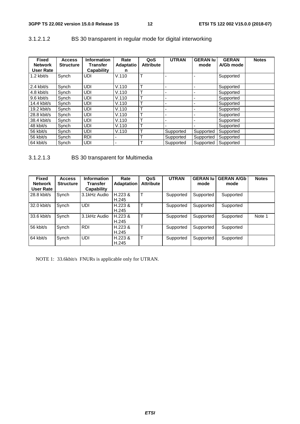| <b>Fixed</b><br><b>Network</b><br><b>User Rate</b> | <b>Access</b><br><b>Structure</b> | <b>Information</b><br>Transfer<br><b>Capability</b> | Rate<br><b>Adaptatio</b><br>n | QoS<br><b>Attribute</b> | <b>UTRAN</b>             | <b>GERAN lu</b><br>mode | <b>GERAN</b><br>A/Gb mode | <b>Notes</b> |
|----------------------------------------------------|-----------------------------------|-----------------------------------------------------|-------------------------------|-------------------------|--------------------------|-------------------------|---------------------------|--------------|
| $1.2$ kbit/s                                       | Synch                             | <b>UDI</b>                                          | V.110                         | Т                       |                          |                         | Supported                 |              |
| $2.4$ kbit/s                                       | Synch                             | <b>UDI</b>                                          | V.110                         | т                       | ٠                        |                         | Supported                 |              |
| $4.8$ kbit/s                                       | Synch                             | <b>UDI</b>                                          | V.110                         | ᠇                       |                          |                         | Supported                 |              |
| $9.6$ kbit/s                                       | Synch                             | <b>UDI</b>                                          | V.110                         | т                       | $\overline{\phantom{a}}$ | $\overline{a}$          | Supported                 |              |
| $14.4$ kbit/s                                      | Synch                             | <b>UDI</b>                                          | V.110                         | ᠇                       |                          |                         | Supported                 |              |
| $19.2$ kbit/s                                      | Synch                             | <b>UDI</b>                                          | V.110                         | ᠇                       |                          |                         | Supported                 |              |
| 28.8 kbit/s                                        | Synch                             | <b>UDI</b>                                          | V.110                         | ᠇                       |                          |                         | Supported                 |              |
| 38.4 kbit/s                                        | Synch                             | <b>UDI</b>                                          | V.110                         | ᠇                       | $\overline{\phantom{a}}$ | $\overline{a}$          | Supported                 |              |
| 48 kbit/s                                          | Synch                             | <b>UDI</b>                                          | V.110                         | Т                       |                          |                         | Supported                 |              |
| 56 kbit/s                                          | Synch                             | UDI                                                 | V.110                         |                         | Supported                | Supported               | Supported                 |              |
| 56 kbit/s                                          | Synch                             | <b>RDI</b>                                          | $\overline{\phantom{0}}$      | ᠇                       | Supported                | Supported               | Supported                 |              |
| 64 kbit/s                                          | Synch                             | <b>UDI</b>                                          | ۰                             | ᠇                       | Supported                | Supported               | Supported                 |              |

### 3.1.2.1.2 BS 30 transparent in regular mode for digital interworking

### 3.1.2.1.3 BS 30 transparent for Multimedia

| <b>Fixed</b><br><b>Network</b><br>User Rate | <b>Access</b><br><b>Structure</b> | <b>Information</b><br>Transfer<br>Capability | Rate<br><b>Adaptation</b> | QoS<br><b>Attribute</b> | <b>UTRAN</b> | <b>GERAN lu</b><br>mode | <b>GERAN A/Gb</b><br>mode | <b>Notes</b> |
|---------------------------------------------|-----------------------------------|----------------------------------------------|---------------------------|-------------------------|--------------|-------------------------|---------------------------|--------------|
| 28.8 kbit/s                                 | Synch                             | 3.1kHz Audio                                 | H.223 &<br>H.245          | $\mathsf{T}$            | Supported    | Supported               | Supported                 |              |
| 32.0 kbit/s                                 | Synch                             | UDI                                          | H.223 &<br>H.245          | $\mathbf \tau$          | Supported    | Supported               | Supported                 |              |
| 33.6 kbit/s                                 | Synch                             | 3.1kHz Audio                                 | H.223 &<br>H.245          |                         | Supported    | Supported               | Supported                 | Note 1       |
| 56 kbit/s                                   | Synch                             | <b>RDI</b>                                   | H.223 &<br>H.245          | $\mathbf \tau$          | Supported    | Supported               | Supported                 |              |
| 64 kbit/s                                   | Synch                             | UDI                                          | H.223 &<br>H.245          |                         | Supported    | Supported               | Supported                 |              |

NOTE 1: 33.6kbit/s FNURs is applicable only for UTRAN.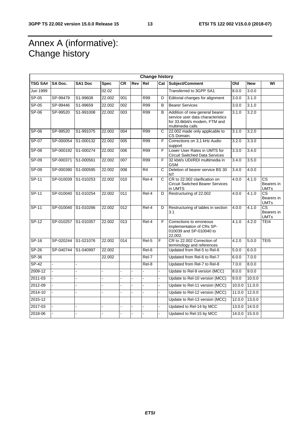# Annex A (informative): Change history

|                | <b>Change history</b> |                |             |                  |     |                |                       |                                                                                                                          |        |            |                                                     |
|----------------|-----------------------|----------------|-------------|------------------|-----|----------------|-----------------------|--------------------------------------------------------------------------------------------------------------------------|--------|------------|-----------------------------------------------------|
| <b>TSG SA#</b> | SA Doc.               | SA1 Doc        | <b>Spec</b> | <b>CR</b>        | Rev | Rel            |                       | Cat Subject/Comment                                                                                                      | Old    | <b>New</b> | WI                                                  |
| Jun 1999       |                       |                | 02.02       |                  |     |                |                       | Transferred to 3GPP SA1                                                                                                  | 8.0.0  | 3.0.0      |                                                     |
| $SP-05$        | SP-99479              | S1-99608       | 22.002      | 001              |     | R99            | D                     | Editorial changes for alignment                                                                                          | 3.0.0  | 3.1.0      |                                                     |
| $SP-05$        | SP-99446              | S1-99659       | 22.002      | 002              |     | <b>R99</b>     | B                     | <b>Bearer Services</b>                                                                                                   | 3.0.0  | 3.1.0      |                                                     |
| $SP-06$        | SP-99520              | S1-991008      | 22.002      | 003              |     | <b>R99</b>     | B                     | Addition of new general bearer<br>service user data characteristics<br>for 33.6kbit/s modem, FTM and<br>multimedia calls | 3.1.0  | 3.2.0      |                                                     |
| SP-06          | SP-99520              | S1-991075      | 22.002      | 004              |     | R99            | $\overline{\text{c}}$ | 22.002 made only applicable to<br>CS Domain.                                                                             | 3.1.0  | 3.2.0      |                                                     |
| SP-07          | SP-000054             | S1-000132      | 22.002      | 005              |     | <b>R99</b>     | F                     | Corrections on 3,1 kHz Audio<br>support                                                                                  | 3.2.0  | 3.3.0      |                                                     |
| $SP-08$        | SP-000192             | S1-000274      | 22.002      | 006              |     | <b>R99</b>     | F                     | Lower User Rates in UMTS for<br><b>Circuit Switched Data Services</b>                                                    | 3.3.0  | 3.4.0      |                                                     |
| $SP-09$        | SP-000371             | S1-000561      | 22.002      | 007              |     | R99            | F                     | 32 kbit/s UDI/RDI multimedia in<br><b>GSM</b>                                                                            | 3.4.0  | 3.5.0      |                                                     |
| $SP-09$        | SP-000390             | S1-000595      | 22.002      | 008              |     | R <sub>4</sub> | C                     | Deletion of bearer service BS 30<br>NT                                                                                   | 3.4.0  | 4.0.0      |                                                     |
| $SP-11$        | SP-010039             | S1-010253      | 22.002      | 010              |     | Rel-4          | $\mathsf{C}$          | CR to 22.002 clarification on<br><b>Circuit Switched Bearer Services</b><br>in UMTS                                      | 4.0.0  | 4.1.0      | CS<br>Bearers in<br><b>UMTs</b>                     |
| $SP-11$        | SP-010040             | S1-010254      | 22.002      | 011              |     | Rel-4          | D                     | Restructuring of 22.002                                                                                                  | 4.0.0  | 4.1.0      | $\overline{\text{cs}}$<br>Bearers in<br><b>UMTs</b> |
| SP-11          | SP-010040             | S1-010266      | 22.002      | 012              |     | Rel-4          | D                     | Restructuring of tables in section<br>3.1                                                                                | 4.0.0  | 4.1.0      | <b>CS</b><br>Bearers in<br><b>UMTs</b>              |
| $SP-12$        | SP-010257             | S1-010357      | 22.002      | $\overline{013}$ |     | Rel-4          | F                     | Corrections to erroneous<br>implementation of CRs SP-<br>010039 and SP-010040 to<br>22.002.                              | 4.1.0  | 4.2.0      | TEI4                                                |
| $SP-16$        | SP-020244             | S1-021076      | 22.002      | 014              |     | Rel-5          | F                     | CR to 22.002 Correction of<br>terminology and references                                                                 | 4.2.0  | 5.0.0      | TEI <sub>5</sub>                                    |
| <b>SP-26</b>   | SP-040744             | S1-040997      | 22.002      |                  |     | Rel-6          |                       | Updated from Rel-5 to Rel-6                                                                                              | 5.0.0  | 6.0.0      |                                                     |
| SP-36          |                       |                | 22.002      |                  |     | Rel-7          |                       | Updated from Rel-6 to Rel-7                                                                                              | 6.0.0  | 7.0.0      |                                                     |
| $SP-42$        |                       |                |             |                  |     | Rel-8          |                       | Updated from Rel-7 to Rel-8                                                                                              | 7.0.0  | 8.0.0      |                                                     |
| 2009-12        |                       |                |             |                  |     |                |                       | Update to Rel-9 version (MCC)                                                                                            | 8.0.0  | 9.0.0      |                                                     |
| 2011-03        |                       |                |             |                  |     |                |                       | Update to Rel-10 version (MCC)                                                                                           | 9.0.0  | 10.0.0     |                                                     |
| 2012-09        |                       |                |             |                  |     |                |                       | Update to Rel-11 version (MCC)                                                                                           | 10.0.0 | 11.0.0     |                                                     |
| 2014-10        |                       |                |             |                  |     |                |                       | Update to Rel-12 version (MCC)                                                                                           | 11.0.0 | 12.0.0     |                                                     |
| 2015-12        |                       |                |             |                  |     |                |                       | Update to Rel-13 version (MCC)                                                                                           | 12.0.0 | 13.0.0     |                                                     |
| 2017-03        |                       | $\overline{a}$ |             |                  |     |                |                       | Updated to Rel-14 by MCC                                                                                                 | 13.0.0 | 14.0.0     |                                                     |
| 2018-06        |                       |                |             |                  |     |                |                       | Updated to Rel-15 by MCC                                                                                                 | 14.0.0 | 15.0.0     |                                                     |